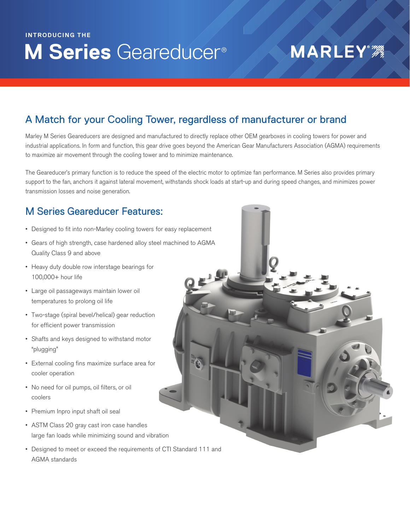## **M Series** Geareducer® **INTRODUCING THE**

# **MARLEY®**

### A Match for your Cooling Tower, regardless of manufacturer or brand

Marley M Series Geareducers are designed and manufactured to directly replace other OEM gearboxes in cooling towers for power and industrial applications. In form and function, this gear drive goes beyond the American Gear Manufacturers Association (AGMA) requirements to maximize air movement through the cooling tower and to minimize maintenance.

The Geareducer's primary function is to reduce the speed of the electric motor to optimize fan performance. M Series also provides primary support to the fan, anchors it against lateral movement, withstands shock loads at start-up and during speed changes, and minimizes power transmission losses and noise generation.

#### M Series Geareducer Features:

- Designed to fit into non-Marley cooling towers for easy replacement
- Gears of high strength, case hardened alloy steel machined to AGMA Quality Class 9 and above
- Heavy duty double row interstage bearings for 100,000+ hour life
- Large oil passageways maintain lower oil temperatures to prolong oil life
- Two-stage (spiral bevel/helical) gear reduction for efficient power transmission
- Shafts and keys designed to withstand motor "plugging"
- External cooling fins maximize surface area for cooler operation
- No need for oil pumps, oil filters, or oil coolers
- Premium Inpro input shaft oil seal
- ASTM Class 20 gray cast iron case handles large fan loads while minimizing sound and vibration
- Designed to meet or exceed the requirements of CTI Standard 111 and AGMA standards